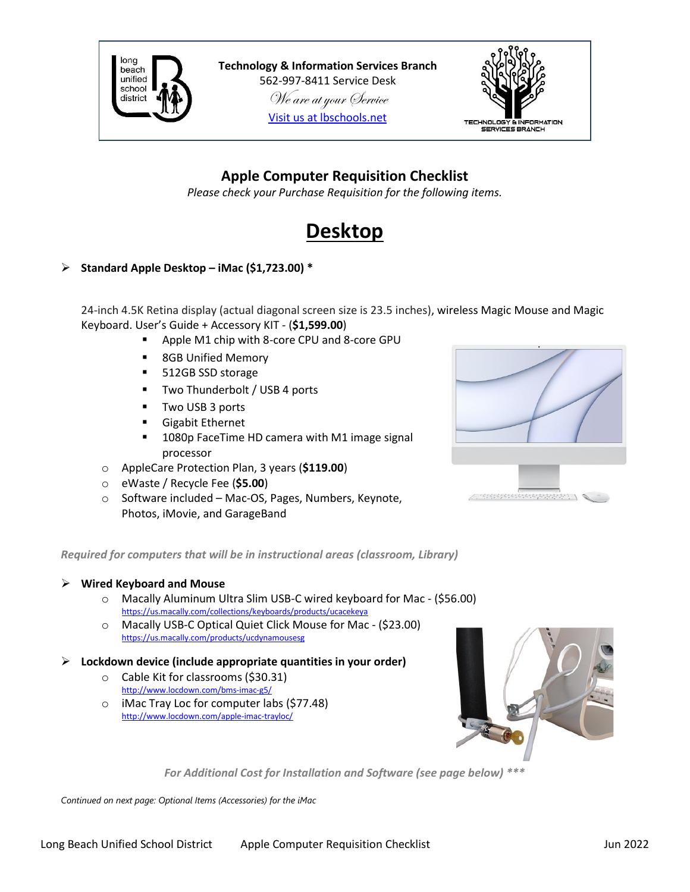

**Technology & Information Services Branch** 562-997-8411 Service Desk We are at your Service [Visit us at lbschools.net](https://www.lbschools.net/Departments/Information_Services/)



## **Apple Computer Requisition Checklist**

*Please check your Purchase Requisition for the following items.*

## **Desktop**

#### ➢ **Standard Apple Desktop – iMac (\$1,723.00) \***

24-inch 4.5K Retina display (actual diagonal screen size is 23.5 inches), wireless Magic Mouse and Magic Keyboard. User's Guide + Accessory KIT - (**\$1,599.00**)

- Apple M1 chip with 8-core CPU and 8-core GPU
- 8GB Unified Memory
- 512GB SSD storage
- Two Thunderbolt / USB 4 ports
- Two USB 3 ports
- Gigabit Ethernet
- 1080p FaceTime HD camera with M1 image signal processor
- o AppleCare Protection Plan, 3 years (**\$119.00**)
- o eWaste / Recycle Fee (**\$5.00**)
- o Software included Mac-OS, Pages, Numbers, Keynote, Photos, iMovie, and GarageBand



#### *Required for computers that will be in instructional areas (classroom, Library)*

#### ➢ **Wired Keyboard and Mouse**

- o Macally Aluminum Ultra Slim USB-C wired keyboard for Mac (\$56.00) <https://us.macally.com/collections/keyboards/products/ucacekeya>
- o Macally USB-C Optical Quiet Click Mouse for Mac (\$23.00) <https://us.macally.com/products/ucdynamousesg>
- ➢ **Lockdown device (include appropriate quantities in your order)**
	- o Cable Kit for classrooms (\$30.31) <http://www.locdown.com/bms-imac-g5/>
	- o iMac Tray Loc for computer labs (\$77.48) <http://www.locdown.com/apple-imac-trayloc/>



*For Additional Cost for Installation and Software (see page below) \*\*\**

*Continued on next page: Optional Items (Accessories) for the iMac*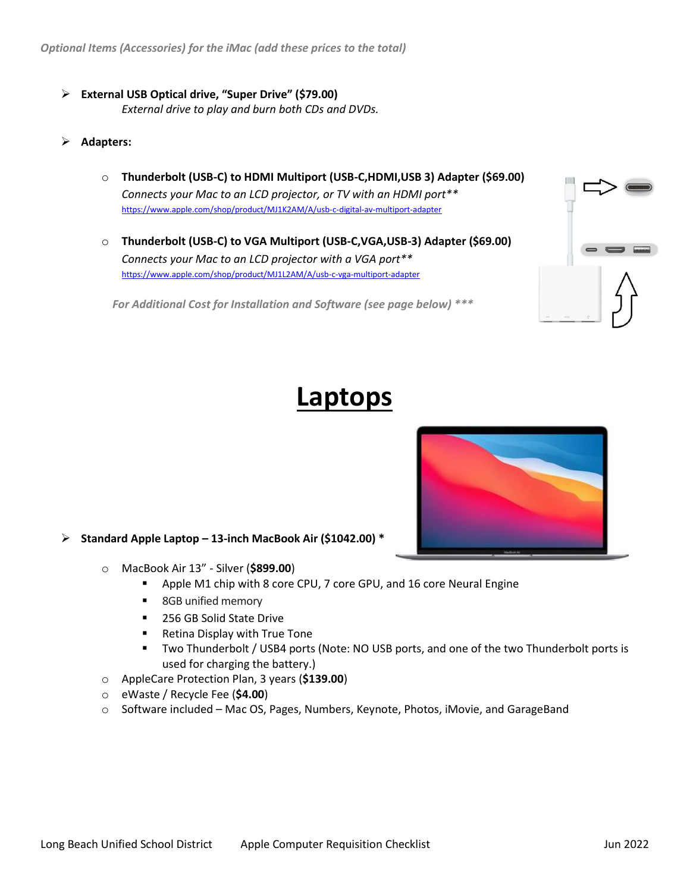- ➢ **External USB Optical drive, "Super Drive" (\$79.00)** *External drive to play and burn both CDs and DVDs.*
- ➢ **Adapters:**
	- o **Thunderbolt (USB-C) to HDMI Multiport (USB-C,HDMI,USB 3) Adapter (\$69.00)** *Connects your Mac to an LCD projector, or TV with an HDMI port\*\** <https://www.apple.com/shop/product/MJ1K2AM/A/usb-c-digital-av-multiport-adapter>
	- o **Thunderbolt (USB-C) to VGA Multiport (USB-C,VGA,USB-3) Adapter (\$69.00)** *Connects your Mac to an LCD projector with a VGA port\*\** <https://www.apple.com/shop/product/MJ1L2AM/A/usb-c-vga-multiport-adapter>

*For Additional Cost for Installation and Software (see page below) \*\*\**



# **Laptops**



#### ➢ **Standard Apple Laptop – 13-inch MacBook Air (\$1042.00) \***

- o MacBook Air 13" Silver (**\$899.00**)
	- Apple M1 chip with 8 core CPU, 7 core GPU, and 16 core Neural Engine
	- 8GB unified memory
	- 256 GB Solid State Drive
	- Retina Display with True Tone
	- Two Thunderbolt / USB4 ports (Note: NO USB ports, and one of the two Thunderbolt ports is used for charging the battery.)
- o AppleCare Protection Plan, 3 years (**\$139.00**)
- o eWaste / Recycle Fee (**\$4.00**)
- $\circ$  Software included Mac OS, Pages, Numbers, Keynote, Photos, iMovie, and GarageBand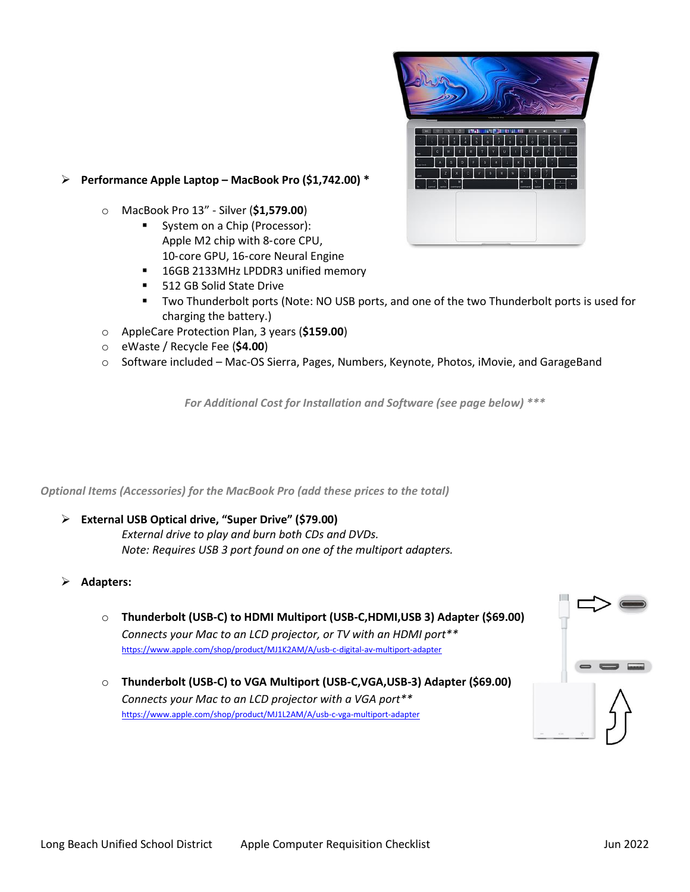

#### ➢ **Performance Apple Laptop – MacBook Pro (\$1,742.00) \***

- o MacBook Pro 13" Silver (**\$1,579.00**)
	- System on a Chip (Processor): Apple M2 chip with 8‑core CPU, 10‑core GPU, 16‑core Neural Engine
	- 16GB 2133MHz LPDDR3 unified memory
	- 512 GB Solid State Drive
	- **■** Two Thunderbolt ports (Note: NO USB ports, and one of the two Thunderbolt ports is used for charging the battery.)
- o AppleCare Protection Plan, 3 years (**\$159.00**)
- o eWaste / Recycle Fee (**\$4.00**)
- $\circ$  Software included Mac-OS Sierra, Pages, Numbers, Keynote, Photos, iMovie, and GarageBand

*For Additional Cost for Installation and Software (see page below) \*\*\**

*Optional Items (Accessories) for the MacBook Pro (add these prices to the total)*

#### ➢ **External USB Optical drive, "Super Drive" (\$79.00)**

*External drive to play and burn both CDs and DVDs. Note: Requires USB 3 port found on one of the multiport adapters.*

- ➢ **Adapters:**
	- o **Thunderbolt (USB-C) to HDMI Multiport (USB-C,HDMI,USB 3) Adapter (\$69.00)** *Connects your Mac to an LCD projector, or TV with an HDMI port\*\** <https://www.apple.com/shop/product/MJ1K2AM/A/usb-c-digital-av-multiport-adapter>
	- o **Thunderbolt (USB-C) to VGA Multiport (USB-C,VGA,USB-3) Adapter (\$69.00)** *Connects your Mac to an LCD projector with a VGA port\*\** <https://www.apple.com/shop/product/MJ1L2AM/A/usb-c-vga-multiport-adapter>